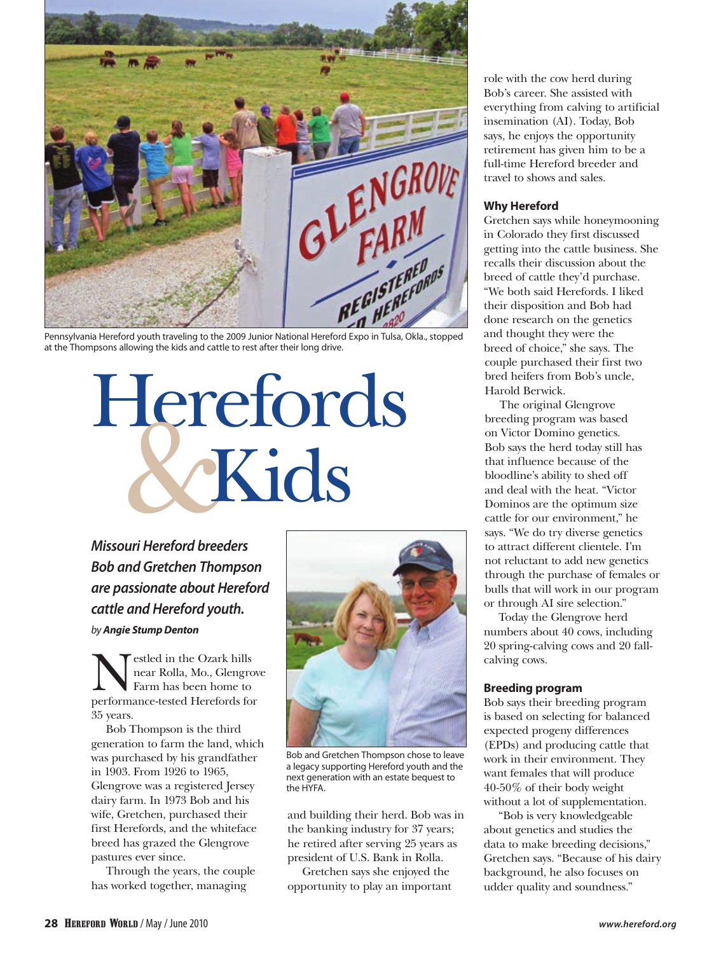

at the Thompsons allowing the kids and cattle to rest after their long drive.

# Herefords **CKids**

*Missouri Hereford breeders Bob and Gretchen Thompson are passionate about Hereford cattle and Hereford youth. by Angie Stump Denton*

Nestled in the Ozark hills performance-tested Herefords for near Rolla, Mo., Glengrove Farm has been home to 35 years.

Bob Thompson is the third generation to farm the land, which was purchased by his grandfather in 1903. From 1926 to 1965, Glengrove was a registered Jersey dairy farm. In 1973 Bob and his wife, Gretchen, purchased their first Herefords, and the whiteface breed has grazed the Glengrove pastures ever since.

Through the years, the couple has worked together, managing



Bob and Gretchen Thompson chose to leave a legacy supporting Hereford youth and the next generation with an estate bequest to the HYFA.

and building their herd. Bob was in the banking industry for 37 years; he retired after serving 25 years as president of U.S. Bank in Rolla.

Gretchen says she enjoyed the opportunity to play an important

role with the cow herd during Bob's career. She assisted with everything from calving to artificial insemination (AI). Today, Bob says, he enjoys the opportunity retirement has given him to be a full-time Hereford breeder and travel to shows and sales.

# **Why Hereford**

Gretchen says while honeymooning in Colorado they first discussed getting into the cattle business. She recalls their discussion about the breed of cattle they'd purchase. "We both said Herefords. I liked their disposition and Bob had done research on the genetics and thought they were the breed of choice," she says. The couple purchased their first two bred heifers from Bob's uncle, Harold Berwick.

The original Glengrove breeding program was based on Victor Domino genetics. Bob says the herd today still has that influence because of the bloodline's ability to shed off and deal with the heat. "Victor Dominos are the optimum size cattle for our environment," he says. "We do try diverse genetics to attract different clientele. I'm not reluctant to add new genetics through the purchase of females or bulls that will work in our program or through AI sire selection."

Today the Glengrove herd numbers about 40 cows, including 20 spring-calving cows and 20 fallcalving cows.

# **Breeding program**

Bob says their breeding program is based on selecting for balanced expected progeny differences (EPDs) and producing cattle that work in their environment. They want females that will produce 40-50% of their body weight without a lot of supplementation.

"Bob is very knowledgeable about genetics and studies the data to make breeding decisions," Gretchen says. "Because of his dairy background, he also focuses on udder quality and soundness."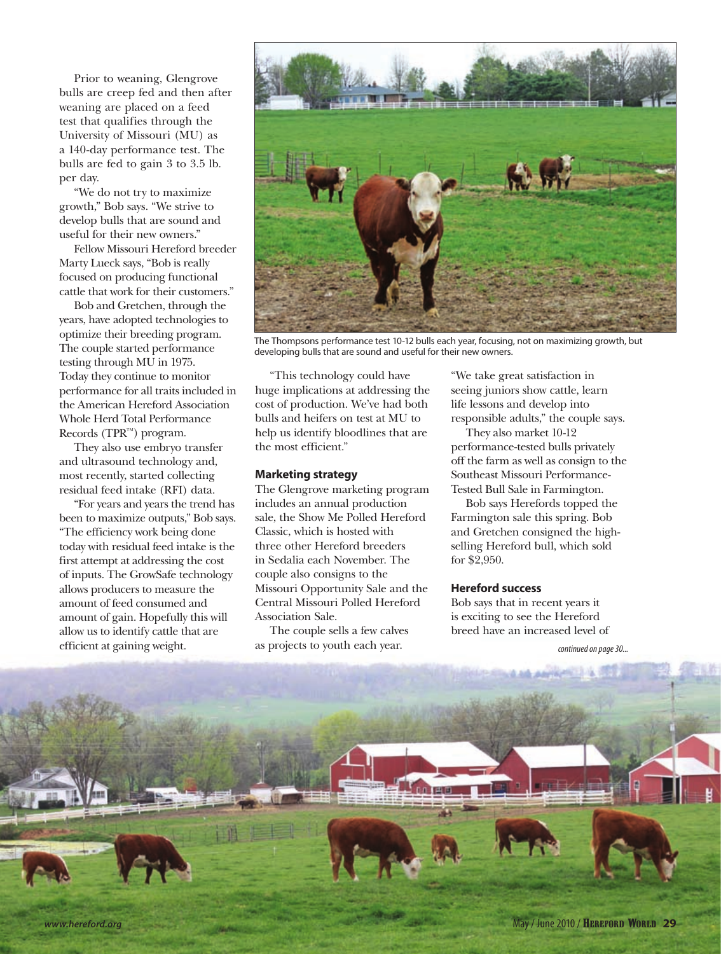Prior to weaning, Glengrove bulls are creep fed and then after weaning are placed on a feed test that qualifies through the University of Missouri (MU) as a 140-day performance test. The bulls are fed to gain 3 to 3.5 lb. per day.

"We do not try to maximize growth," Bob says. "We strive to develop bulls that are sound and useful for their new owners."

Fellow Missouri Hereford breeder Marty Lueck says, "Bob is really focused on producing functional cattle that work for their customers."

Bob and Gretchen, through the years, have adopted technologies to optimize their breeding program. The couple started performance testing through MU in 1975. Today they continue to monitor performance for all traits included in the American Hereford Association Whole Herd Total Performance Records (TPR™) program.

They also use embryo transfer and ultrasound technology and, most recently, started collecting residual feed intake (RFI) data.

"For years and years the trend has been to maximize outputs," Bob says. "The efficiency work being done today with residual feed intake is the first attempt at addressing the cost of inputs. The GrowSafe technology allows producers to measure the amount of feed consumed and amount of gain. Hopefully this will allow us to identify cattle that are efficient at gaining weight.



The Thompsons performance test 10-12 bulls each year, focusing, not on maximizing growth, but developing bulls that are sound and useful for their new owners.

"This technology could have huge implications at addressing the cost of production. We've had both bulls and heifers on test at MU to help us identify bloodlines that are the most efficient."

### **Marketing strategy**

The Glengrove marketing program includes an annual production sale, the Show Me Polled Hereford Classic, which is hosted with three other Hereford breeders in Sedalia each November. The couple also consigns to the Missouri Opportunity Sale and the Central Missouri Polled Hereford Association Sale.

The couple sells a few calves as projects to youth each year.

"We take great satisfaction in seeing juniors show cattle, learn life lessons and develop into responsible adults," the couple says.

They also market 10-12 performance-tested bulls privately off the farm as well as consign to the Southeast Missouri Performance-Tested Bull Sale in Farmington.

Bob says Herefords topped the Farmington sale this spring. Bob and Gretchen consigned the highselling Hereford bull, which sold for \$2,950.

### **Hereford success**

Bob says that in recent years it is exciting to see the Hereford breed have an increased level of

*continued on page 30...*